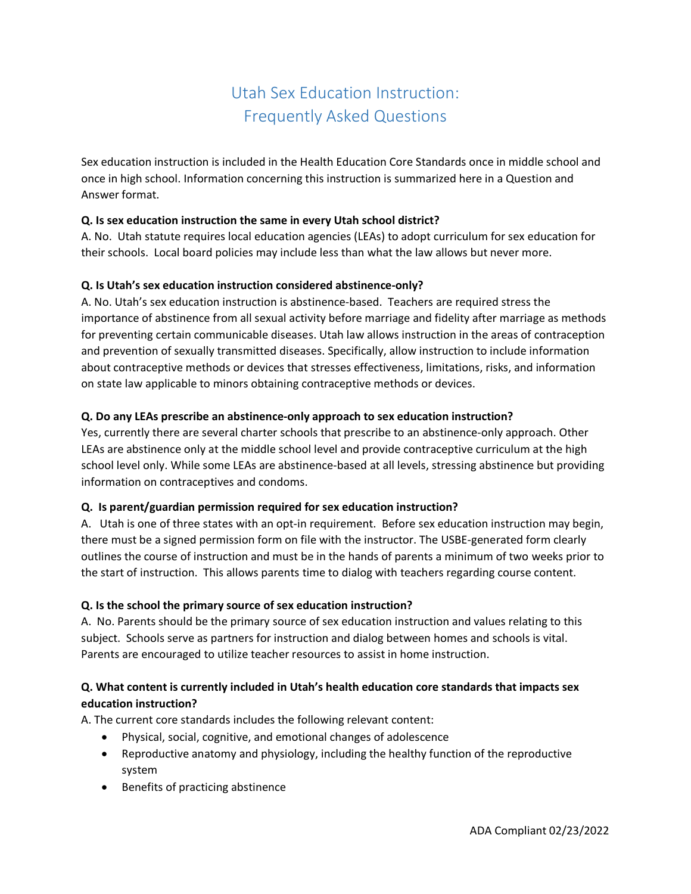# Utah Sex Education Instruction: Frequently Asked Questions

Sex education instruction is included in the Health Education Core Standards once in middle school and once in high school. Information concerning this instruction is summarized here in a Question and Answer format.

# **Q. Is sex education instruction the same in every Utah school district?**

A. No. Utah statute requires local education agencies (LEAs) to adopt curriculum for sex education for their schools. Local board policies may include less than what the law allows but never more.

## **Q. Is Utah's sex education instruction considered abstinence-only?**

A. No. Utah's sex education instruction is abstinence-based. Teachers are required stress the importance of abstinence from all sexual activity before marriage and fidelity after marriage as methods for preventing certain communicable diseases. Utah law allows instruction in the areas of contraception and prevention of sexually transmitted diseases. Specifically, allow instruction to include information about contraceptive methods or devices that stresses effectiveness, limitations, risks, and information on state law applicable to minors obtaining contraceptive methods or devices.

## **Q. Do any LEAs prescribe an abstinence-only approach to sex education instruction?**

Yes, currently there are several charter schools that prescribe to an abstinence-only approach. Other LEAs are abstinence only at the middle school level and provide contraceptive curriculum at the high school level only. While some LEAs are abstinence-based at all levels, stressing abstinence but providing information on contraceptives and condoms.

### **Q. Is parent/guardian permission required for sex education instruction?**

A. Utah is one of three states with an opt-in requirement. Before sex education instruction may begin, there must be a signed permission form on file with the instructor. The USBE-generated form clearly outlines the course of instruction and must be in the hands of parents a minimum of two weeks prior to the start of instruction. This allows parents time to dialog with teachers regarding course content.

### **Q. Is the school the primary source of sex education instruction?**

A. No. Parents should be the primary source of sex education instruction and values relating to this subject. Schools serve as partners for instruction and dialog between homes and schools is vital. Parents are encouraged to utilize teacher resources to assist in home instruction.

# **Q. What content is currently included in Utah's health education core standards that impacts sex education instruction?**

A. The current core standards includes the following relevant content:

- Physical, social, cognitive, and emotional changes of adolescence
- Reproductive anatomy and physiology, including the healthy function of the reproductive system
- Benefits of practicing abstinence